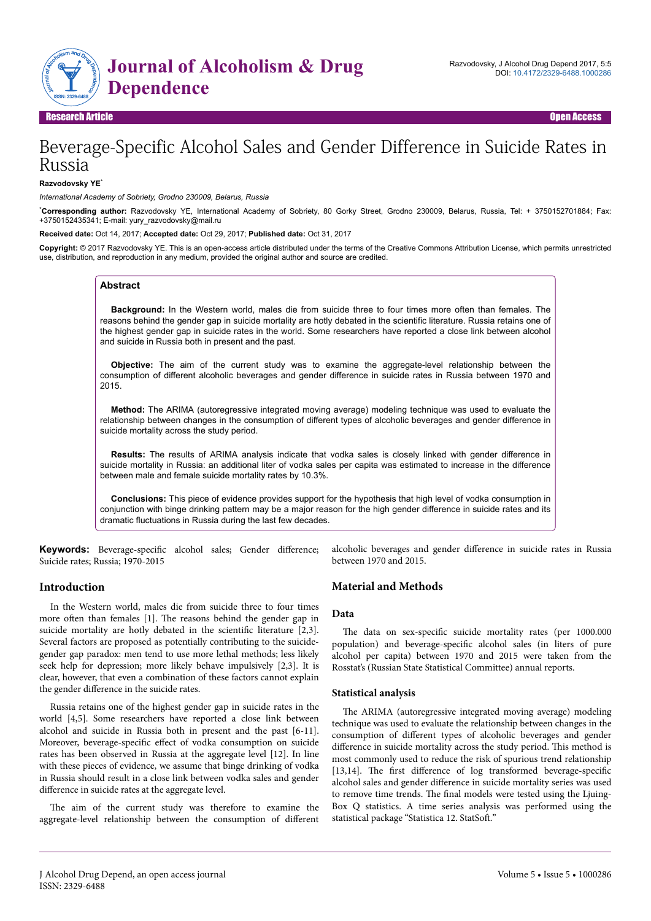

# Beverage-Specific Alcohol Sales and Gender Difference in Suicide Rates in Russia

#### **Razvodovsky YE**\*

*International Academy of Sobriety, Grodno 230009, Belarus, Russia*

\***Corresponding author:** Razvodovsky YE, International Academy of Sobriety, 80 Gorky Street, Grodno 230009, Belarus, Russia, Tel: + 3750152701884; Fax: +3750152435341; E-mail: yury\_razvodovsky@mail.ru

**Received date:** Oct 14, 2017; **Accepted date:** Oct 29, 2017; **Published date:** Oct 31, 2017

**Copyright:** © 2017 Razvodovsky YE. This is an open-access article distributed under the terms of the Creative Commons Attribution License, which permits unrestricted use, distribution, and reproduction in any medium, provided the original author and source are credited.

### **Abstract**

**Background:** In the Western world, males die from suicide three to four times more often than females. The reasons behind the gender gap in suicide mortality are hotly debated in the scientific literature. Russia retains one of the highest gender gap in suicide rates in the world. Some researchers have reported a close link between alcohol and suicide in Russia both in present and the past.

**Objective:** The aim of the current study was to examine the aggregate-level relationship between the consumption of different alcoholic beverages and gender difference in suicide rates in Russia between 1970 and 2015.

**Method:** The ARIMA (autoregressive integrated moving average) modeling technique was used to evaluate the relationship between changes in the consumption of different types of alcoholic beverages and gender difference in suicide mortality across the study period.

**Results:** The results of ARIMA analysis indicate that vodka sales is closely linked with gender difference in suicide mortality in Russia: an additional liter of vodka sales per capita was estimated to increase in the difference between male and female suicide mortality rates by 10.3%.

**Conclusions:** This piece of evidence provides support for the hypothesis that high level of vodka consumption in conjunction with binge drinking pattern may be a major reason for the high gender difference in suicide rates and its dramatic fluctuations in Russia during the last few decades.

**Keywords:** Beverage-specific alcohol sales; Gender difference; Suicide rates; Russia; 1970-2015

### **Introduction**

In the Western world, males die from suicide three to four times more often than females [1]. The reasons behind the gender gap in suicide mortality are hotly debated in the scientific literature  $[2,3]$ . Several factors are proposed as potentially contributing to the suicidegender gap paradox: men tend to use more lethal methods; less likely seek help for depression; more likely behave impulsively [2,3]. It is clear, however, that even a combination of these factors cannot explain the gender difference in the suicide rates.

Russia retains one of the highest gender gap in suicide rates in the world [4,5]. Some researchers have reported a close link between alcohol and suicide in Russia both in present and the past [6-11]. Moreover, beverage-specific effect of vodka consumption on suicide rates has been observed in Russia at the aggregate level [12]. In line with these pieces of evidence, we assume that binge drinking of vodka in Russia should result in a close link between vodka sales and gender difference in suicide rates at the aggregate level.

The aim of the current study was therefore to examine the aggregate-level relationship between the consumption of different alcoholic beverages and gender difference in suicide rates in Russia between 1970 and 2015.

# **Material and Methods**

### **Data**

The data on sex-specific suicide mortality rates (per 1000.000 population) and beverage-specific alcohol sales (in liters of pure alcohol per capita) between 1970 and 2015 were taken from the Rosstat's (Russian State Statistical Committee) annual reports.

#### **Statistical analysis**

The ARIMA (autoregressive integrated moving average) modeling technique was used to evaluate the relationship between changes in the consumption of different types of alcoholic beverages and gender difference in suicide mortality across the study period. This method is most commonly used to reduce the risk of spurious trend relationship  $[13,14]$ . The first difference of log transformed beverage-specific alcohol sales and gender difference in suicide mortality series was used to remove time trends. The final models were tested using the Ljuing-Box Q statistics. A time series analysis was performed using the statistical package "Statistica 12. StatSoft."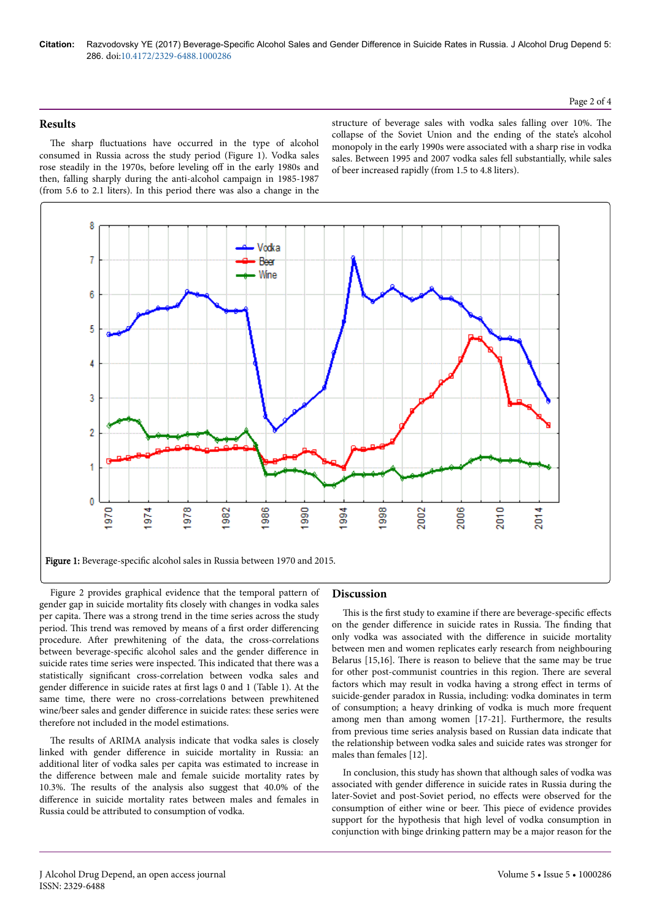**Citation:** Razvodovsky YE (2017) Beverage-Specific Alcohol Sales and Gender Difference in Suicide Rates in Russia. J Alcohol Drug Depend 5: 286. doi:10.4172/2329-6488.1000286

# **Results**

The sharp fluctuations have occurred in the type of alcohol consumed in Russia across the study period (Figure 1). Vodka sales rose steadily in the 1970s, before leveling off in the early 1980s and then, falling sharply during the anti-alcohol campaign in 1985-1987 (from 5.6 to 2.1 liters). In this period there was also a change in the

structure of beverage sales with vodka sales falling over 10%. Нe collapse of the Soviet Union and the ending of the state's alcohol monopoly in the early 1990s were associated with a sharp rise in vodka sales. Between 1995 and 2007 vodka sales fell substantially, while sales of beer increased rapidly (from 1.5 to 4.8 liters).



Figure 2 provides graphical evidence that the temporal pattern of gender gap in suicide mortality fits closely with changes in vodka sales per capita. Нere was a strong trend in the time series across the study period. This trend was removed by means of a first order differencing procedure. After prewhitening of the data, the cross-correlations between beverage-specific alcohol sales and the gender difference in suicide rates time series were inspected. This indicated that there was a statistically significant cross-correlation between vodka sales and gender difference in suicide rates at first lags 0 and 1 (Table 1). At the same time, there were no cross-correlations between prewhitened wine/beer sales and gender difference in suicide rates: these series were therefore not included in the model estimations.

The results of ARIMA analysis indicate that vodka sales is closely linked with gender difference in suicide mortality in Russia: an additional liter of vodka sales per capita was estimated to increase in the difference between male and female suicide mortality rates by 10.3%. Нe results of the analysis also suggest that 40.0% of the difference in suicide mortality rates between males and females in Russia could be attributed to consumption of vodka.

# **Discussion**

This is the first study to examine if there are beverage-specific effects on the gender difference in suicide rates in Russia. The finding that only vodka was associated with the difference in suicide mortality between men and women replicates early research from neighbouring Belarus [15,16]. Нere is reason to believe that the same may be true for other post-communist countries in this region. Нere are several factors which may result in vodka having a strong effect in terms of suicide-gender paradox in Russia, including: vodka dominates in term of consumption; a heavy drinking of vodka is much more frequent among men than among women [17-21]. Furthermore, the results from previous time series analysis based on Russian data indicate that the relationship between vodka sales and suicide rates was stronger for males than females [12].

In conclusion, this study has shown that although sales of vodka was associated with gender difference in suicide rates in Russia during the later-Soviet and post-Soviet period, no effects were observed for the consumption of either wine or beer. This piece of evidence provides support for the hypothesis that high level of vodka consumption in conjunction with binge drinking pattern may be a major reason for the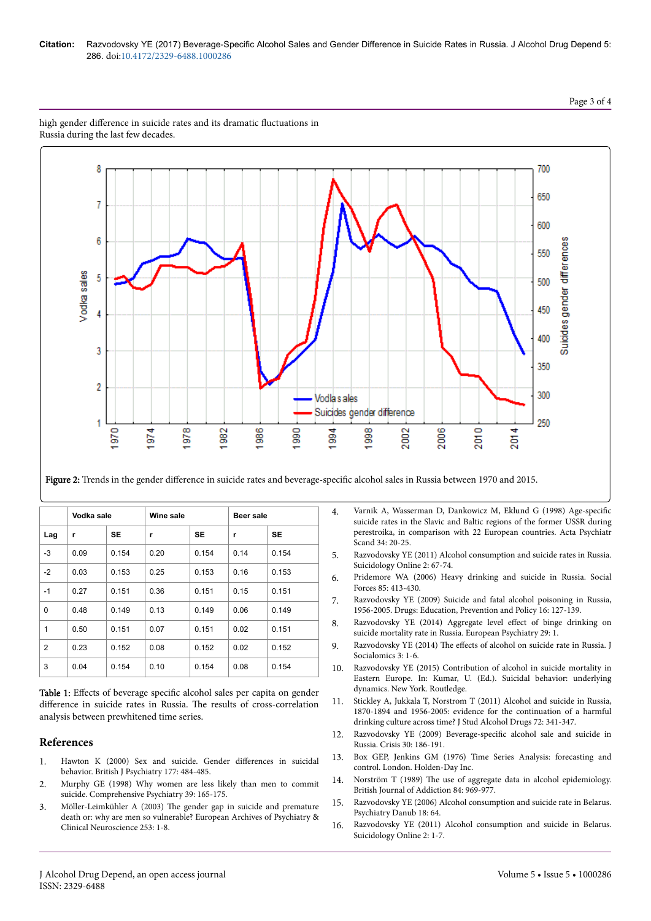## Page 3 of 4



high gender difference in suicide rates and its dramatic fluctuations in Russia during the last few decades.

Figure 2: Trends in the gender difference in suicide rates and beverage-specific alcohol sales in Russia between 1970 and 2015.

|                | Vodka sale |           | Wine sale |           | Beer sale |           |
|----------------|------------|-----------|-----------|-----------|-----------|-----------|
| Lag            | r          | <b>SE</b> | r         | <b>SE</b> | r         | <b>SE</b> |
| $-3$           | 0.09       | 0.154     | 0.20      | 0.154     | 0.14      | 0.154     |
| $-2$           | 0.03       | 0.153     | 0.25      | 0.153     | 0.16      | 0.153     |
| $-1$           | 0.27       | 0.151     | 0.36      | 0.151     | 0.15      | 0.151     |
| 0              | 0.48       | 0.149     | 0.13      | 0.149     | 0.06      | 0.149     |
| 1              | 0.50       | 0.151     | 0.07      | 0.151     | 0.02      | 0.151     |
| $\overline{2}$ | 0.23       | 0.152     | 0.08      | 0.152     | 0.02      | 0.152     |
| 3              | 0.04       | 0.154     | 0.10      | 0.154     | 0.08      | 0.154     |

Table 1: Effects of beverage specific alcohol sales per capita on gender difference in suicide rates in Russia. The results of cross-correlation analysis between prewhitened time series.

### **References**

- 1. [Hawton K \(2000\) Sex and suicide. Gender](https://doi.org/10.1192/bjp.177.6.484) differences in suicidal [behavior. British J Psychiatry 177: 484-485.](https://doi.org/10.1192/bjp.177.6.484)
- 2. [Murphy GE \(1998\) Why women are less likely than men to commit](https://doi.org/10.1016/s0010-440x(98)90057-8) [suicide. Comprehensive Psychiatry 39: 165-175.](https://doi.org/10.1016/s0010-440x(98)90057-8)
- 3. Möller-Leimkühler A (2003) Нe gender gap in suicide and premature death or: why are men so vulnerable? European Archives of Psychiatry & Clinical Neuroscience 253: 1-8.
- 4. [Varnik A, Wasserman D, Dankowicz M, Eklund G \(1998\)](https://doi.org/10.1111/j.1600-0447.1998.tb10761.x) Age-specific [suicide rates in the Slavic and Baltic regions of the former USSR during](https://doi.org/10.1111/j.1600-0447.1998.tb10761.x) [perestroika, in comparison with 22 European countries. Acta Psychiatr](https://doi.org/10.1111/j.1600-0447.1998.tb10761.x) [Scand 34: 20-25.](https://doi.org/10.1111/j.1600-0447.1998.tb10761.x)
- 5. Razvodovsky YE (2011) Alcohol consumption and suicide rates in Russia. Suicidology Online 2: 67-74.
- 6. [Pridemore WA \(2006\) Heavy drinking and suicide in Russia. Social](https://doi.org/10.1353/sof.2006.0138) [Forces 85: 413-430.](https://doi.org/10.1353/sof.2006.0138)
- 7. [Razvodovsky YE \(2009\) Suicide and fatal alcohol poisoning in Russia,](https://doi.org/10.1080/09687630801931804) [1956-2005. Drugs: Education, Prevention and Policy 16: 127-139.](https://doi.org/10.1080/09687630801931804)
- 8. [Razvodovsky YE \(2014\) Aggregate level](https://doi.org/10.1016/s0924-9338(14)77698-9) effect of binge drinking on [suicide mortality rate in Russia. European Psychiatry 29: 1.](https://doi.org/10.1016/s0924-9338(14)77698-9)
- 9. Razvodovsky YE (2014) The effects [of alcohol on suicide rate in Russia. J](https://doi.org/10.1016/s0924-9338(14)77698-9) [Socialomics 3: 1-6.](https://doi.org/10.1016/s0924-9338(14)77698-9)
- 10. Razvodovsky YE (2015) Contribution of alcohol in suicide mortality in Eastern Europe. In: Kumar, U. (Ed.). Suicidal behavior: underlying dynamics. New York. Routledge.
- 11. [Stickley A, Jukkala T, Norstrom T \(2011\) Alcohol and suicide in Russia,](https://doi.org/10.15288/jsad.2011.72.341) [1870-1894 and 1956-2005: evidence for the continuation of a harmful](https://doi.org/10.15288/jsad.2011.72.341) [drinking culture across time? J Stud Alcohol Drugs 72: 341-347.](https://doi.org/10.15288/jsad.2011.72.341)
- 12. Razvodovsky YE (2009) Beverage-specific [alcohol sale and suicide in](https://doi.org/10.1027/0227-5910.30.4.186) [Russia. Crisis 30: 186-191.](https://doi.org/10.1027/0227-5910.30.4.186)
- 13. Box GEP, Jenkins GM (1976) Time Series Analysis: forecasting and control. London. Holden-Day Inc.
- 14. Norström T (1989) Нe [use of aggregate data in alcohol epidemiology.](https://doi.org/10.1111/j.1360-0443.1989.tb00777.x) [British Journal of Addiction 84: 969-977.](https://doi.org/10.1111/j.1360-0443.1989.tb00777.x)
- 15. Razvodovsky YE (2006) Alcohol consumption and suicide rate in Belarus. Psychiatry Danub 18: 64.
- 16. Razvodovsky YE (2011) Alcohol consumption and suicide in Belarus. Suicidology Online 2: 1-7.